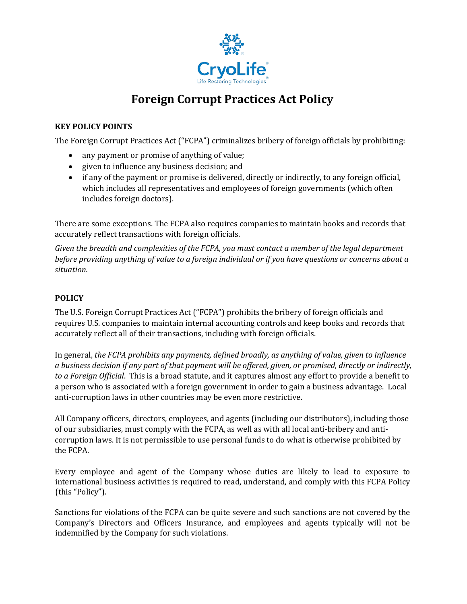

## **Foreign Corrupt Practices Act Policy**

## **KEY POLICY POINTS**

The Foreign Corrupt Practices Act ("FCPA") criminalizes bribery of foreign officials by prohibiting:

- any payment or promise of anything of value;
- given to influence any business decision; and
- if any of the payment or promise is delivered, directly or indirectly, to any foreign official, which includes all representatives and employees of foreign governments (which often includes foreign doctors).

There are some exceptions. The FCPA also requires companies to maintain books and records that accurately reflect transactions with foreign officials.

*Given the breadth and complexities of the FCPA, you must contact a member of the legal department before providing anything of value to a foreign individual or if you have questions or concerns about a situation.*

## **POLICY**

The U.S. Foreign Corrupt Practices Act ("FCPA") prohibits the bribery of foreign officials and requires U.S. companies to maintain internal accounting controls and keep books and records that accurately reflect all of their transactions, including with foreign officials.

In general, *the FCPA prohibits any payments, defined broadly, as anything of value, given to influence a business decision if any part of that payment will be offered, given, or promised, directly or indirectly, to a Foreign Official*. This is a broad statute, and it captures almost any effort to provide a benefit to a person who is associated with a foreign government in order to gain a business advantage. Local anti-corruption laws in other countries may be even more restrictive.

All Company officers, directors, employees, and agents (including our distributors), including those of our subsidiaries, must comply with the FCPA, as well as with all local anti-bribery and anticorruption laws. It is not permissible to use personal funds to do what is otherwise prohibited by the FCPA.

Every employee and agent of the Company whose duties are likely to lead to exposure to international business activities is required to read, understand, and comply with this FCPA Policy (this "Policy").

Sanctions for violations of the FCPA can be quite severe and such sanctions are not covered by the Company's Directors and Officers Insurance, and employees and agents typically will not be indemnified by the Company for such violations.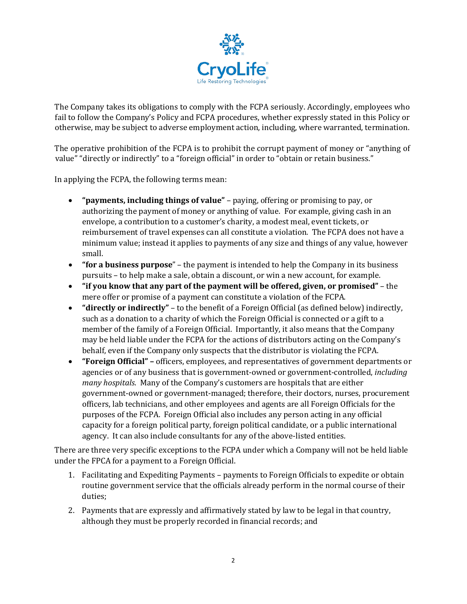

The Company takes its obligations to comply with the FCPA seriously. Accordingly, employees who fail to follow the Company's Policy and FCPA procedures, whether expressly stated in this Policy or otherwise, may be subject to adverse employment action, including, where warranted, termination.

The operative prohibition of the FCPA is to prohibit the corrupt payment of money or "anything of value" "directly or indirectly" to a "foreign official" in order to "obtain or retain business."

In applying the FCPA, the following terms mean:

- **"payments, including things of value"**  paying, offering or promising to pay, or authorizing the payment of money or anything of value. For example, giving cash in an envelope, a contribution to a customer's charity, a modest meal, event tickets, or reimbursement of travel expenses can all constitute a violation. The FCPA does not have a minimum value; instead it applies to payments of any size and things of any value, however small.
- **"for a business purpose**" the payment is intended to help the Company in its business pursuits – to help make a sale, obtain a discount, or win a new account, for example.
- **"if you know that any part of the payment will be offered, given, or promised"**  the mere offer or promise of a payment can constitute a violation of the FCPA.
- **"directly or indirectly"** to the benefit of a Foreign Official (as defined below) indirectly, such as a donation to a charity of which the Foreign Official is connected or a gift to a member of the family of a Foreign Official. Importantly, it also means that the Company may be held liable under the FCPA for the actions of distributors acting on the Company's behalf, even if the Company only suspects that the distributor is violating the FCPA.
- **"Foreign Official" –** officers, employees, and representatives of government departments or agencies or of any business that is government-owned or government-controlled, *including many hospitals*. Many of the Company's customers are hospitals that are either government-owned or government-managed; therefore, their doctors, nurses, procurement officers, lab technicians, and other employees and agents are all Foreign Officials for the purposes of the FCPA. Foreign Official also includes any person acting in any official capacity for a foreign political party, foreign political candidate, or a public international agency. It can also include consultants for any of the above-listed entities.

There are three very specific exceptions to the FCPA under which a Company will not be held liable under the FPCA for a payment to a Foreign Official.

- 1. Facilitating and Expediting Payments payments to Foreign Officials to expedite or obtain routine government service that the officials already perform in the normal course of their duties;
- 2. Payments that are expressly and affirmatively stated by law to be legal in that country, although they must be properly recorded in financial records; and